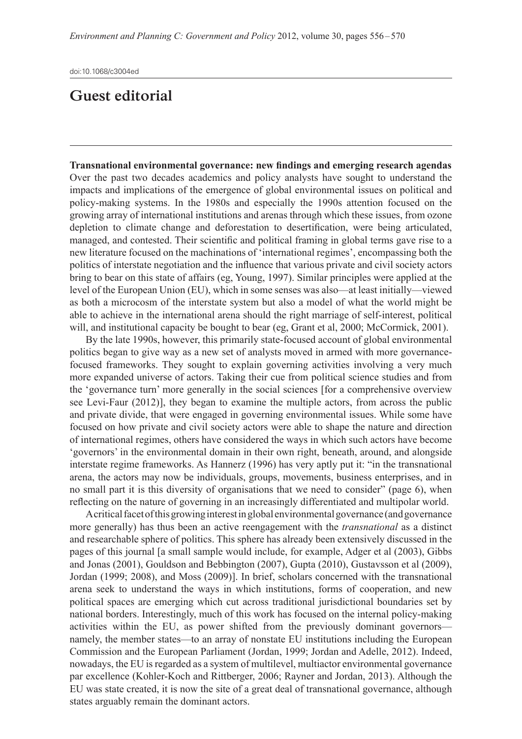# **Guest editorial**

**Transnational environmental governance: new fi ndings and emerging research agendas** Over the past two decades academics and policy analysts have sought to understand the impacts and implications of the emergence of global environmental issues on political and policy-making systems. In the 1980s and especially the 1990s attention focused on the growing array of international institutions and arenas through which these issues, from ozone depletion to climate change and deforestation to desertification, were being articulated, managed, and contested. Their scientific and political framing in global terms gave rise to a new literature focused on the machinations of 'international regimes', encompassing both the politics of interstate negotiation and the influence that various private and civil society actors bring to bear on this state of affairs (eg, Young, 1997). Similar principles were applied at the level of the European Union (EU), which in some senses was also—at least initially—viewed as both a microcosm of the interstate system but also a model of what the world might be able to achieve in the international arena should the right marriage of self-interest, political will, and institutional capacity be bought to bear (eg, Grant et al, 2000; McCormick, 2001).

By the late 1990s, however, this primarily state-focused account of global environmental politics began to give way as a new set of analysts moved in armed with more governancefocused frameworks. They sought to explain governing activities involving a very much more expanded universe of actors. Taking their cue from political science studies and from the 'governance turn' more generally in the social sciences [for a comprehensive overview see Levi-Faur (2012)], they began to examine the multiple actors, from across the public and private divide, that were engaged in governing environmental issues. While some have focused on how private and civil society actors were able to shape the nature and direction of international regimes, others have considered the ways in which such actors have become 'governors' in the environmental domain in their own right, beneath, around, and alongside interstate regime frameworks. As Hannerz (1996) has very aptly put it: "in the transnational arena, the actors may now be individuals, groups, movements, business enterprises, and in no small part it is this diversity of organisations that we need to consider" (page 6), when reflecting on the nature of governing in an increasingly differentiated and multipolar world.

A critical facet of this growing interest in global environmental governance (and governance more generally) has thus been an active reengagement with the *transnational* as a distinct and researchable sphere of politics. This sphere has already been extensively discussed in the pages of this journal [a small sample would include, for example, Adger et al (2003), Gibbs and Jonas (2001), Gouldson and Bebbington (2007), Gupta (2010), Gustavsson et al (2009), Jordan (1999; 2008), and Moss (2009)]. In brief, scholars concerned with the transnational arena seek to understand the ways in which institutions, forms of cooperation, and new political spaces are emerging which cut across traditional jurisdictional boundaries set by national borders. Interestingly, much of this work has focused on the internal policy-making activities within the EU, as power shifted from the previously dominant governors namely, the member states—to an array of nonstate EU institutions including the European Commission and the European Parliament (Jordan, 1999; Jordan and Adelle, 2012). Indeed, nowadays, the EU is regarded as a system of multilevel, multiactor environmental governance par excellence (Kohler-Koch and Rittberger, 2006; Rayner and Jordan, 2013). Although the EU was state created, it is now the site of a great deal of transnational governance, although states arguably remain the dominant actors.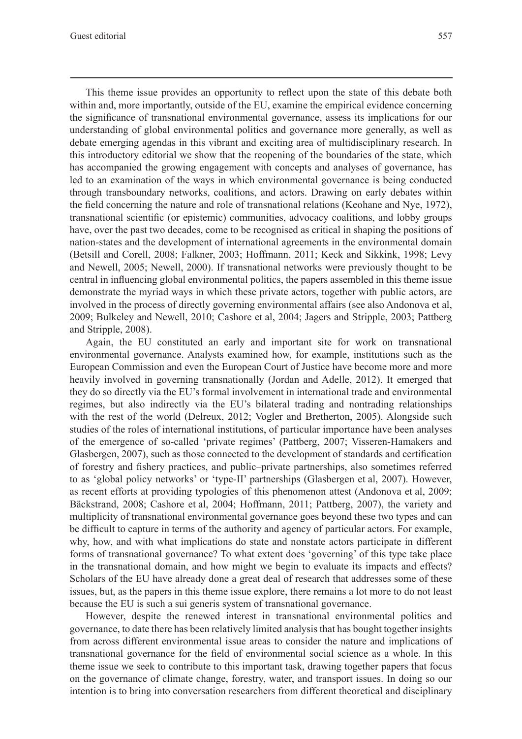Guest editorial 557

This theme issue provides an opportunity to reflect upon the state of this debate both within and, more importantly, outside of the EU, examine the empirical evidence concerning the significance of transnational environmental governance, assess its implications for our understanding of global environmental politics and governance more generally, as well as debate emerging agendas in this vibrant and exciting area of multidisciplinary research. In this introductory editorial we show that the reopening of the boundaries of the state, which has accompanied the growing engagement with concepts and analyses of governance, has led to an examination of the ways in which environmental governance is being conducted through transboundary networks, coalitions, and actors. Drawing on early debates within the field concerning the nature and role of transnational relations (Keohane and Nye, 1972), transnational scientific (or epistemic) communities, advocacy coalitions, and lobby groups have, over the past two decades, come to be recognised as critical in shaping the positions of nation-states and the development of international agreements in the environmental domain (Betsill and Corell, 2008; Falkner, 2003; Hoffmann, 2011; Keck and Sikkink, 1998; Levy and Newell, 2005; Newell, 2000). If transnational networks were previously thought to be central in influencing global environmental politics, the papers assembled in this theme issue demonstrate the myriad ways in which these private actors, together with public actors, are involved in the process of directly governing environmental affairs (see also Andonova et al, 2009; Bulkeley and Newell, 2010; Cashore et al, 2004; Jagers and Stripple, 2003; Pattberg and Stripple, 2008).

Again, the EU constituted an early and important site for work on transnational environmental governance. Analysts examined how, for example, institutions such as the European Commission and even the European Court of Justice have become more and more heavily involved in governing transnationally (Jordan and Adelle, 2012). It emerged that they do so directly via the EU's formal involvement in international trade and environmental regimes, but also indirectly via the EU's bilateral trading and nontrading relationships with the rest of the world (Delreux, 2012; Vogler and Bretherton, 2005). Alongside such studies of the roles of international institutions, of particular importance have been analyses of the emergence of so-called 'private regimes' (Pattberg, 2007; Visseren-Hamakers and Glasbergen, 2007), such as those connected to the development of standards and certification of forestry and fishery practices, and public–private partnerships, also sometimes referred to as 'global policy networks' or 'type-II' partnerships (Glasbergen et al, 2007). However, as recent efforts at providing typologies of this phenomenon attest (Andonova et al, 2009; Bäckstrand, 2008; Cashore et al, 2004; Hoffmann, 2011; Pattberg, 2007), the variety and multiplicity of transnational environmental governance goes beyond these two types and can be difficult to capture in terms of the authority and agency of particular actors. For example, why, how, and with what implications do state and nonstate actors participate in different forms of transnational governance? To what extent does 'governing' of this type take place in the transnational domain, and how might we begin to evaluate its impacts and effects? Scholars of the EU have already done a great deal of research that addresses some of these issues, but, as the papers in this theme issue explore, there remains a lot more to do not least because the EU is such a sui generis system of transnational governance.

However, despite the renewed interest in transnational environmental politics and governance, to date there has been relatively limited analysis that has bought together insights from across different environmental issue areas to consider the nature and implications of transnational governance for the field of environmental social science as a whole. In this theme issue we seek to contribute to this important task, drawing together papers that focus on the governance of climate change, forestry, water, and transport issues. In doing so our intention is to bring into conversation researchers from different theoretical and disciplinary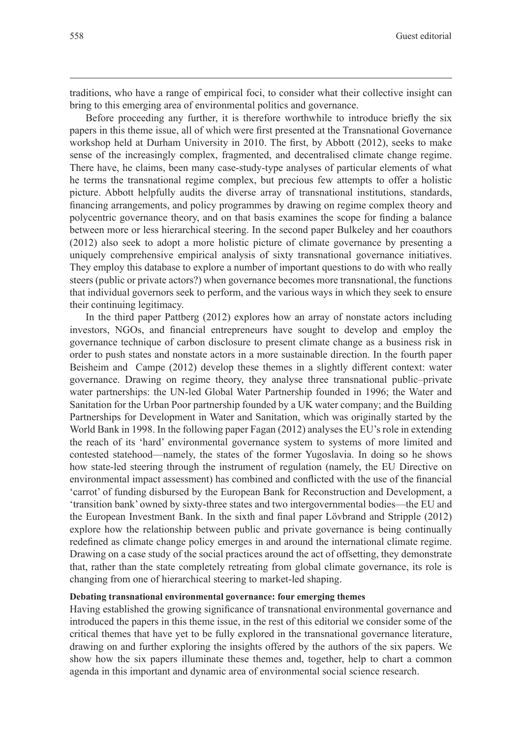traditions, who have a range of empirical foci, to consider what their collective insight can bring to this emerging area of environmental politics and governance.

Before proceeding any further, it is therefore worthwhile to introduce briefly the six papers in this theme issue, all of which were first presented at the Transnational Governance workshop held at Durham University in 2010. The first, by Abbott (2012), seeks to make sense of the increasingly complex, fragmented, and decentralised climate change regime. There have, he claims, been many case-study-type analyses of particular elements of what he terms the transnational regime complex, but precious few attempts to offer a holistic picture. Abbott helpfully audits the diverse array of transnational institutions, standards, financing arrangements, and policy programmes by drawing on regime complex theory and polycentric governance theory, and on that basis examines the scope for finding a balance between more or less hierarchical steering. In the second paper Bulkeley and her coauthors (2012) also seek to adopt a more holistic picture of climate governance by presenting a uniquely comprehensive empirical analysis of sixty transnational governance initiatives. They employ this database to explore a number of important questions to do with who really steers (public or private actors?) when governance becomes more transnational, the functions that individual governors seek to perform, and the various ways in which they seek to ensure their continuing legitimacy.

In the third paper Pattberg (2012) explores how an array of nonstate actors including investors, NGOs, and financial entrepreneurs have sought to develop and employ the governance technique of carbon disclosure to present climate change as a business risk in order to push states and nonstate actors in a more sustainable direction. In the fourth paper Beisheim and Campe (2012) develop these themes in a slightly different context: water governance. Drawing on regime theory, they analyse three transnational public–private water partnerships: the UN-led Global Water Partnership founded in 1996; the Water and Sanitation for the Urban Poor partnership founded by a UK water company; and the Building Partnerships for Development in Water and Sanitation, which was originally started by the World Bank in 1998. In the following paper Fagan (2012) analyses the EU's role in extending the reach of its 'hard' environmental governance system to systems of more limited and contested statehood—namely, the states of the former Yugoslavia. In doing so he shows how state-led steering through the instrument of regulation (namely, the EU Directive on environmental impact assessment) has combined and conflicted with the use of the financial 'carrot' of funding disbursed by the European Bank for Reconstruction and Development, a 'transition bank' owned by sixty-three states and two intergovernmental bodies—the EU and the European Investment Bank. In the sixth and final paper Lövbrand and Stripple (2012) explore how the relationship between public and private governance is being continually redefined as climate change policy emerges in and around the international climate regime. Drawing on a case study of the social practices around the act of offsetting, they demonstrate that, rather than the state completely retreating from global climate governance, its role is changing from one of hierarchical steering to market-led shaping.

# **Debating transnational environmental governance: four emerging themes**

Having established the growing significance of transnational environmental governance and introduced the papers in this theme issue, in the rest of this editorial we consider some of the critical themes that have yet to be fully explored in the transnational governance literature, drawing on and further exploring the insights offered by the authors of the six papers. We show how the six papers illuminate these themes and, together, help to chart a common agenda in this important and dynamic area of environmental social science research.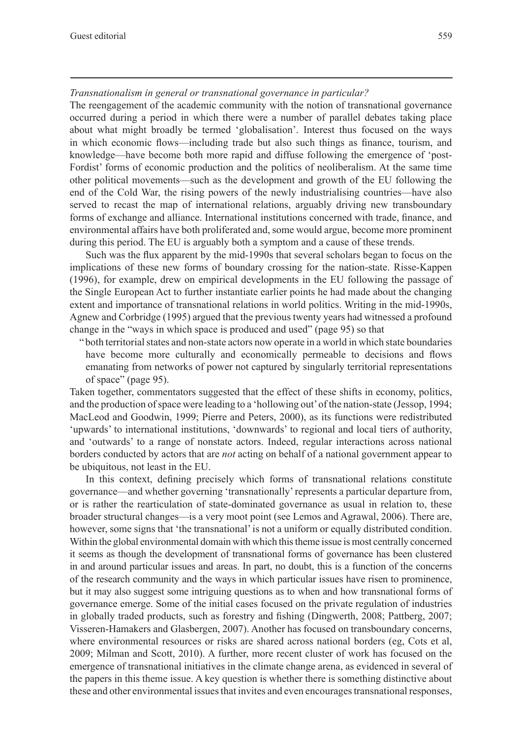## *Transnationalism in general or transnational governance in particular?*

The reengagement of the academic community with the notion of transnational governance occurred during a period in which there were a number of parallel debates taking place about what might broadly be termed 'globalisation'. Interest thus focused on the ways in which economic flows—including trade but also such things as finance, tourism, and knowledge—have become both more rapid and diffuse following the emergence of 'post-Fordist' forms of economic production and the politics of neoliberalism. At the same time other political movements—such as the development and growth of the EU following the end of the Cold War, the rising powers of the newly industrialising countries—have also served to recast the map of international relations, arguably driving new transboundary forms of exchange and alliance. International institutions concerned with trade, finance, and environmental affairs have both proliferated and, some would argue, become more prominent during this period. The EU is arguably both a symptom and a cause of these trends.

Such was the flux apparent by the mid-1990s that several scholars began to focus on the implications of these new forms of boundary crossing for the nation-state. Risse-Kappen (1996), for example, drew on empirical developments in the EU following the passage of the Single European Act to further instantiate earlier points he had made about the changing extent and importance of transnational relations in world politics. Writing in the mid-1990s, Agnew and Corbridge (1995) argued that the previous twenty years had witnessed a profound change in the "ways in which space is produced and used" (page 95) so that

" both territorial states and non-state actors now operate in a world in which state boundaries have become more culturally and economically permeable to decisions and flows emanating from networks of power not captured by singularly territorial representations of space" (page 95).

Taken together, commentators suggested that the effect of these shifts in economy, politics, and the production of space were leading to a 'hollowing out' of the nation-state (Jessop, 1994; MacLeod and Goodwin, 1999; Pierre and Peters, 2000), as its functions were redistributed 'upwards' to international institutions, 'downwards' to regional and local tiers of authority, and 'outwards' to a range of nonstate actors. Indeed, regular interactions across national borders conducted by actors that are *not* acting on behalf of a national government appear to be ubiquitous, not least in the EU.

In this context, defining precisely which forms of transnational relations constitute governance—and whether governing 'transnationally' represents a particular departure from, or is rather the rearticulation of state-dominated governance as usual in relation to, these broader structural changes—is a very moot point (see Lemos and Agrawal, 2006). There are, however, some signs that 'the transnational' is not a uniform or equally distributed condition. Within the global environmental domain with which this theme issue is most centrally concerned it seems as though the development of transnational forms of governance has been clustered in and around particular issues and areas. In part, no doubt, this is a function of the concerns of the research community and the ways in which particular issues have risen to prominence, but it may also suggest some intriguing questions as to when and how transnational forms of governance emerge. Some of the initial cases focused on the private regulation of industries in globally traded products, such as forestry and fishing (Dingwerth, 2008; Pattberg, 2007; Visseren-Hamakers and Glasbergen, 2007). Another has focused on transboundary concerns, where environmental resources or risks are shared across national borders (eg, Cots et al, 2009; Milman and Scott, 2010). A further, more recent cluster of work has focused on the emergence of transnational initiatives in the climate change arena, as evidenced in several of the papers in this theme issue. A key question is whether there is something distinctive about these and other environmental issues that invites and even encourages transnational responses,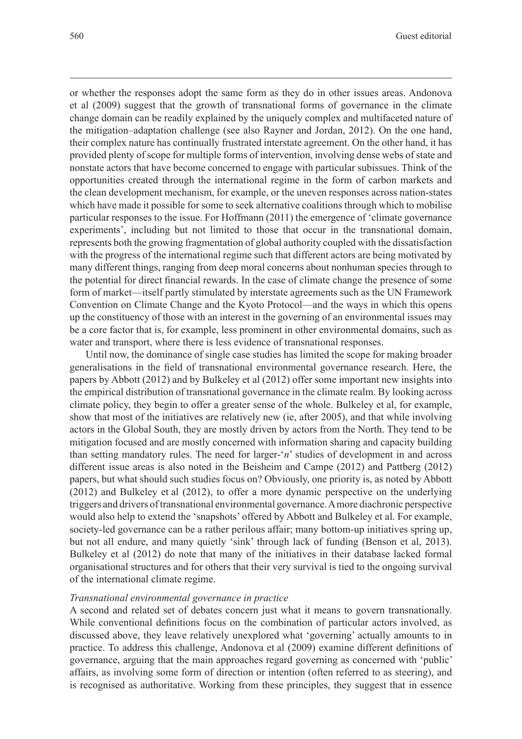or whether the responses adopt the same form as they do in other issues areas. Andonova et al (2009) suggest that the growth of transnational forms of governance in the climate change domain can be readily explained by the uniquely complex and multifaceted nature of the mitigation–adaptation challenge (see also Rayner and Jordan, 2012). On the one hand, their complex nature has continually frustrated interstate agreement. On the other hand, it has provided plenty of scope for multiple forms of intervention, involving dense webs of state and nonstate actors that have become concerned to engage with particular subissues. Think of the opportunities created through the international regime in the form of carbon markets and the clean development mechanism, for example, or the uneven responses across nation-states which have made it possible for some to seek alternative coalitions through which to mobilise particular responses to the issue. For Hoffmann (2011) the emergence of 'climate governance experiments', including but not limited to those that occur in the transnational domain, represents both the growing fragmentation of global authority coupled with the dissatisfaction with the progress of the international regime such that different actors are being motivated by many different things, ranging from deep moral concerns about nonhuman species through to the potential for direct financial rewards. In the case of climate change the presence of some form of market—itself partly stimulated by interstate agreements such as the UN Framework Convention on Climate Change and the Kyoto Protocol—and the ways in which this opens up the constituency of those with an interest in the governing of an environmental issues may be a core factor that is, for example, less prominent in other environmental domains, such as water and transport, where there is less evidence of transnational responses.

Until now, the dominance of single case studies has limited the scope for making broader generalisations in the field of transnational environmental governance research. Here, the papers by Abbott (2012) and by Bulkeley et al (2012) offer some important new insights into the empirical distribution of transnational governance in the climate realm. By looking across climate policy, they begin to offer a greater sense of the whole. Bulkeley et al, for example, show that most of the initiatives are relatively new (ie, after 2005), and that while involving actors in the Global South, they are mostly driven by actors from the North. They tend to be mitigation focused and are mostly concerned with information sharing and capacity building than setting mandatory rules. The need for larger-'*n*' studies of development in and across different issue areas is also noted in the Beisheim and Campe (2012) and Pattberg (2012) papers, but what should such studies focus on? Obviously, one priority is, as noted by Abbott (2012) and Bulkeley et al (2012), to offer a more dynamic perspective on the underlying triggers and drivers of transnational environmental governance. A more diachronic perspective would also help to extend the 'snapshots' offered by Abbott and Bulkeley et al. For example, society-led governance can be a rather perilous affair; many bottom-up initiatives spring up, but not all endure, and many quietly 'sink' through lack of funding (Benson et al, 2013). Bulkeley et al (2012) do note that many of the initiatives in their database lacked formal organisational structures and for others that their very survival is tied to the ongoing survival of the international climate regime.

## *Transnational environmental governance in practice*

A second and related set of debates concern just what it means to govern transnationally. While conventional definitions focus on the combination of particular actors involved, as discussed above, they leave relatively unexplored what 'governing' actually amounts to in practice. To address this challenge, Andonova et al (2009) examine different definitions of governance, arguing that the main approaches regard governing as concerned with 'public' affairs, as involving some form of direction or intention (often referred to as steering), and is recognised as authoritative. Working from these principles, they suggest that in essence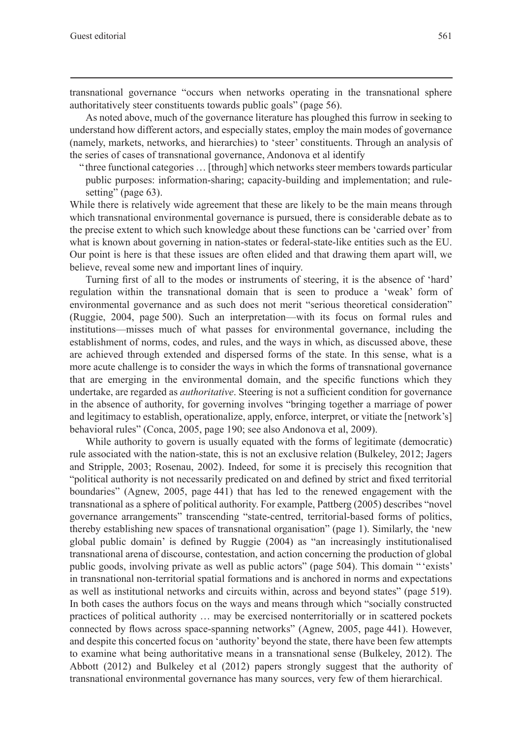transnational governance "occurs when networks operating in the transnational sphere authoritatively steer constituents towards public goals" (page 56).

As noted above, much of the governance literature has ploughed this furrow in seeking to understand how different actors, and especially states, employ the main modes of governance (namely, markets, networks, and hierarchies) to 'steer' constituents. Through an analysis of the series of cases of transnational governance, Andonova et al identify

" three functional categories … [through] which networks steer members towards particular public purposes: information-sharing; capacity-building and implementation; and rulesetting" (page 63).

While there is relatively wide agreement that these are likely to be the main means through which transnational environmental governance is pursued, there is considerable debate as to the precise extent to which such knowledge about these functions can be 'carried over' from what is known about governing in nation-states or federal-state-like entities such as the EU. Our point is here is that these issues are often elided and that drawing them apart will, we believe, reveal some new and important lines of inquiry.

Turning first of all to the modes or instruments of steering, it is the absence of 'hard' regulation within the transnational domain that is seen to produce a 'weak' form of environmental governance and as such does not merit "serious theoretical consideration" (Ruggie, 2004, page 500). Such an interpretation—with its focus on formal rules and institutions—misses much of what passes for environmental governance, including the establishment of norms, codes, and rules, and the ways in which, as discussed above, these are achieved through extended and dispersed forms of the state. In this sense, what is a more acute challenge is to consider the ways in which the forms of transnational governance that are emerging in the environmental domain, and the specifi c functions which they undertake, are regarded as *authoritative*. Steering is not a sufficient condition for governance in the absence of authority, for governing involves "bringing together a marriage of power and legitimacy to establish, operationalize, apply, enforce, interpret, or vitiate the [network's] behavioral rules" (Conca, 2005, page 190; see also Andonova et al, 2009).

While authority to govern is usually equated with the forms of legitimate (democratic) rule associated with the nation-state, this is not an exclusive relation (Bulkeley, 2012; Jagers and Stripple, 2003; Rosenau, 2002). Indeed, for some it is precisely this recognition that "political authority is not necessarily predicated on and defined by strict and fixed territorial boundaries" (Agnew, 2005, page 441) that has led to the renewed engagement with the transnational as a sphere of political authority. For example, Pattberg (2005) describes "novel governance arrangements" transcending "state-centred, territorial-based forms of politics, thereby establishing new spaces of transnational organisation" (page 1). Similarly, the 'new global public domain' is defined by Ruggie (2004) as "an increasingly institutionalised transnational arena of discourse, contestation, and action concerning the production of global public goods, involving private as well as public actors" (page 504). This domain " 'exists' in transnational non-territorial spatial formations and is anchored in norms and expectations as well as institutional networks and circuits within, across and beyond states" (page 519). In both cases the authors focus on the ways and means through which "socially constructed practices of political authority … may be exercised nonterritorially or in scattered pockets connected by flows across space-spanning networks" (Agnew, 2005, page 441). However, and despite this concerted focus on 'authority' beyond the state, there have been few attempts to examine what being authoritative means in a transnational sense (Bulkeley, 2012). The Abbott (2012) and Bulkeley et al (2012) papers strongly suggest that the authority of transnational environmental governance has many sources, very few of them hierarchical.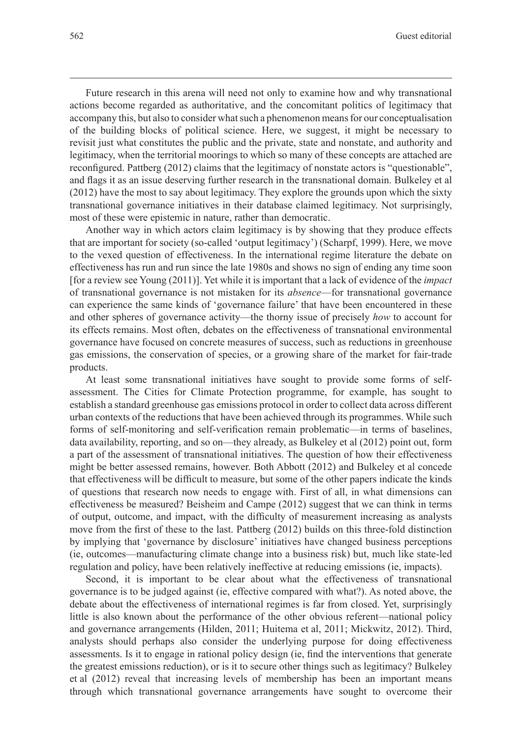Future research in this arena will need not only to examine how and why transnational actions become regarded as authoritative, and the concomitant politics of legitimacy that accompany this, but also to consider what such a phenomenon means for our conceptualisation of the building blocks of political science. Here, we suggest, it might be necessary to revisit just what constitutes the public and the private, state and nonstate, and authority and legitimacy, when the territorial moorings to which so many of these concepts are attached are reconfigured. Pattberg (2012) claims that the legitimacy of nonstate actors is "questionable", and flags it as an issue deserving further research in the transnational domain. Bulkeley et al (2012) have the most to say about legitimacy. They explore the grounds upon which the sixty transnational governance initiatives in their database claimed legitimacy. Not surprisingly, most of these were epistemic in nature, rather than democratic.

Another way in which actors claim legitimacy is by showing that they produce effects that are important for society (so-called 'output legitimacy') (Scharpf, 1999). Here, we move to the vexed question of effectiveness. In the international regime literature the debate on effectiveness has run and run since the late 1980s and shows no sign of ending any time soon [for a review see Young (2011)]. Yet while it is important that a lack of evidence of the *impact*  of transnational governance is not mistaken for its *absence*—for transnational governance can experience the same kinds of 'governance failure' that have been encountered in these and other spheres of governance activity—the thorny issue of precisely *how* to account for its effects remains. Most often, debates on the effectiveness of transnational environmental governance have focused on concrete measures of success, such as reductions in greenhouse gas emissions, the conservation of species, or a growing share of the market for fair-trade products.

At least some transnational initiatives have sought to provide some forms of selfassessment. The Cities for Climate Protection programme, for example, has sought to establish a standard greenhouse gas emissions protocol in order to collect data across different urban contexts of the reductions that have been achieved through its programmes. While such forms of self-monitoring and self-verification remain problematic—in terms of baselines, data availability, reporting, and so on—they already, as Bulkeley et al (2012) point out, form a part of the assessment of transnational initiatives. The question of how their effectiveness might be better assessed remains, however. Both Abbott (2012) and Bulkeley et al concede that effectiveness will be difficult to measure, but some of the other papers indicate the kinds of questions that research now needs to engage with. First of all, in what dimensions can effectiveness be measured? Beisheim and Campe (2012) suggest that we can think in terms of output, outcome, and impact, with the difficulty of measurement increasing as analysts move from the first of these to the last. Pattberg (2012) builds on this three-fold distinction by implying that 'governance by disclosure' initiatives have changed business perceptions (ie, outcomes—manufacturing climate change into a business risk) but, much like state-led regulation and policy, have been relatively ineffective at reducing emissions (ie, impacts).

Second, it is important to be clear about what the effectiveness of transnational governance is to be judged against (ie, effective compared with what?). As noted above, the debate about the effectiveness of international regimes is far from closed. Yet, surprisingly little is also known about the performance of the other obvious referent—national policy and governance arrangements (Hilden, 2011; Huitema et al, 2011; Mickwitz, 2012). Third, analysts should perhaps also consider the underlying purpose for doing effectiveness assessments. Is it to engage in rational policy design (ie, find the interventions that generate the greatest emissions reduction), or is it to secure other things such as legitimacy? Bulkeley et al (2012) reveal that increasing levels of membership has been an important means through which transnational governance arrangements have sought to overcome their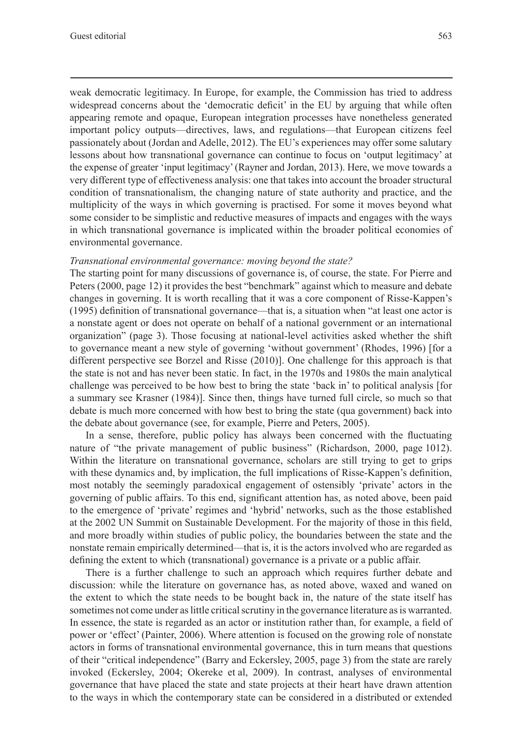weak democratic legitimacy. In Europe, for example, the Commission has tried to address widespread concerns about the 'democratic deficit' in the EU by arguing that while often appearing remote and opaque, European integration processes have nonetheless generated important policy outputs—directives, laws, and regulations—that European citizens feel passionately about (Jordan and Adelle, 2012). The EU's experiences may offer some salutary lessons about how transnational governance can continue to focus on 'output legitimacy' at the expense of greater 'input legitimacy' (Rayner and Jordan, 2013). Here, we move towards a very different type of effectiveness analysis: one that takes into account the broader structural condition of transnationalism, the changing nature of state authority and practice, and the multiplicity of the ways in which governing is practised. For some it moves beyond what some consider to be simplistic and reductive measures of impacts and engages with the ways in which transnational governance is implicated within the broader political economies of environmental governance.

### *Transnational environmental governance: moving beyond the state?*

The starting point for many discussions of governance is, of course, the state. For Pierre and Peters (2000, page 12) it provides the best "benchmark" against which to measure and debate changes in governing. It is worth recalling that it was a core component of Risse-Kappen's (1995) definition of transnational governance—that is, a situation when "at least one actor is a nonstate agent or does not operate on behalf of a national government or an international organization" (page 3). Those focusing at national-level activities asked whether the shift to governance meant a new style of governing 'without government' (Rhodes, 1996) [for a different perspective see Borzel and Risse (2010)]. One challenge for this approach is that the state is not and has never been static. In fact, in the 1970s and 1980s the main analytical challenge was perceived to be how best to bring the state 'back in' to political analysis [for a summary see Krasner (1984)]. Since then, things have turned full circle, so much so that debate is much more concerned with how best to bring the state (qua government) back into the debate about governance (see, for example, Pierre and Peters, 2005).

In a sense, therefore, public policy has always been concerned with the fluctuating nature of "the private management of public business" (Richardson, 2000, page 1012). Within the literature on transnational governance, scholars are still trying to get to grips with these dynamics and, by implication, the full implications of Risse-Kappen's definition, most notably the seemingly paradoxical engagement of ostensibly 'private' actors in the governing of public affairs. To this end, significant attention has, as noted above, been paid to the emergence of 'private' regimes and 'hybrid' networks, such as the those established at the 2002 UN Summit on Sustainable Development. For the majority of those in this field, and more broadly within studies of public policy, the boundaries between the state and the nonstate remain empirically determined—that is, it is the actors involved who are regarded as defining the extent to which (transnational) governance is a private or a public affair.

There is a further challenge to such an approach which requires further debate and discussion: while the literature on governance has, as noted above, waxed and waned on the extent to which the state needs to be bought back in, the nature of the state itself has sometimes not come under as little critical scrutiny in the governance literature as is warranted. In essence, the state is regarded as an actor or institution rather than, for example, a field of power or 'effect' (Painter, 2006). Where attention is focused on the growing role of nonstate actors in forms of transnational environmental governance, this in turn means that questions of their "critical independence" (Barry and Eckersley, 2005, page 3) from the state are rarely invoked (Eckersley, 2004; Okereke et al, 2009). In contrast, analyses of environmental governance that have placed the state and state projects at their heart have drawn attention to the ways in which the contemporary state can be considered in a distributed or extended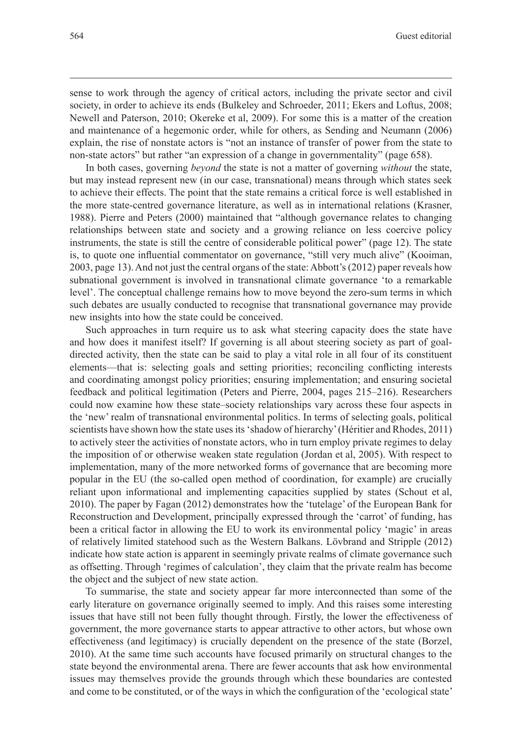sense to work through the agency of critical actors, including the private sector and civil society, in order to achieve its ends (Bulkeley and Schroeder, 2011; Ekers and Loftus, 2008; Newell and Paterson, 2010; Okereke et al, 2009). For some this is a matter of the creation and maintenance of a hegemonic order, while for others, as Sending and Neumann (2006) explain, the rise of nonstate actors is "not an instance of transfer of power from the state to non-state actors" but rather "an expression of a change in governmentality" (page 658).

In both cases, governing *beyond* the state is not a matter of governing *without* the state, but may instead represent new (in our case, transnational) means through which states seek to achieve their effects. The point that the state remains a critical force is well established in the more state-centred governance literature, as well as in international relations (Krasner, 1988). Pierre and Peters (2000) maintained that "although governance relates to changing relationships between state and society and a growing reliance on less coercive policy instruments, the state is still the centre of considerable political power" (page 12). The state is, to quote one influential commentator on governance, "still very much alive" (Kooiman, 2003, page 13). And not just the central organs of the state: Abbott's (2012) paper reveals how subnational government is involved in transnational climate governance 'to a remarkable level'. The conceptual challenge remains how to move beyond the zero-sum terms in which such debates are usually conducted to recognise that transnational governance may provide new insights into how the state could be conceived.

Such approaches in turn require us to ask what steering capacity does the state have and how does it manifest itself? If governing is all about steering society as part of goaldirected activity, then the state can be said to play a vital role in all four of its constituent elements—that is: selecting goals and setting priorities; reconciling conflicting interests and coordinating amongst policy priorities; ensuring implementation; and ensuring societal feedback and political legitimation (Peters and Pierre, 2004, pages 215–216). Researchers could now examine how these state–society relationships vary across these four aspects in the 'new' realm of transnational environmental politics. In terms of selecting goals, political scientists have shown how the state uses its 'shadow of hierarchy' (Héritier and Rhodes, 2011) to actively steer the activities of nonstate actors, who in turn employ private regimes to delay the imposition of or otherwise weaken state regulation (Jordan et al, 2005). With respect to implementation, many of the more networked forms of governance that are becoming more popular in the EU (the so-called open method of coordination, for example) are crucially reliant upon informational and implementing capacities supplied by states (Schout et al, 2010). The paper by Fagan (2012) demonstrates how the 'tutelage' of the European Bank for Reconstruction and Development, principally expressed through the 'carrot' of funding, has been a critical factor in allowing the EU to work its environmental policy 'magic' in areas of relatively limited statehood such as the Western Balkans. Lövbrand and Stripple (2012) indicate how state action is apparent in seemingly private realms of climate governance such as offsetting. Through 'regimes of calculation', they claim that the private realm has become the object and the subject of new state action.

To summarise, the state and society appear far more interconnected than some of the early literature on governance originally seemed to imply. And this raises some interesting issues that have still not been fully thought through. Firstly, the lower the effectiveness of government, the more governance starts to appear attractive to other actors, but whose own effectiveness (and legitimacy) is crucially dependent on the presence of the state (Borzel, 2010). At the same time such accounts have focused primarily on structural changes to the state beyond the environmental arena. There are fewer accounts that ask how environmental issues may themselves provide the grounds through which these boundaries are contested and come to be constituted, or of the ways in which the configuration of the 'ecological state'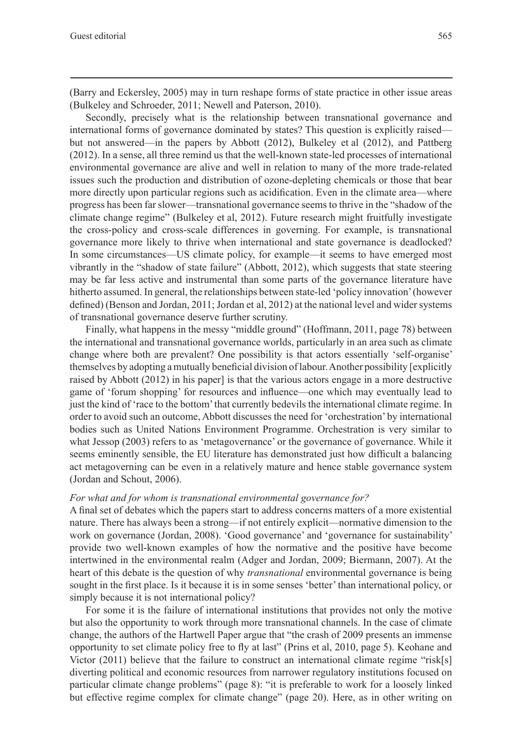(Barry and Eckersley, 2005) may in turn reshape forms of state practice in other issue areas (Bulkeley and Schroeder, 2011; Newell and Paterson, 2010).

Secondly, precisely what is the relationship between transnational governance and international forms of governance dominated by states? This question is explicitly raised but not answered—in the papers by Abbott (2012), Bulkeley et al (2012), and Pattberg (2012). In a sense, all three remind us that the well-known state-led processes of international environmental governance are alive and well in relation to many of the more trade-related issues such the production and distribution of ozone-depleting chemicals or those that bear more directly upon particular regions such as acidification. Even in the climate area—where progress has been far slower—transnational governance seems to thrive in the "shadow of the climate change regime" (Bulkeley et al, 2012). Future research might fruitfully investigate the cross-policy and cross-scale differences in governing. For example, is transnational governance more likely to thrive when international and state governance is deadlocked? In some circumstances—US climate policy, for example—it seems to have emerged most vibrantly in the "shadow of state failure" (Abbott, 2012), which suggests that state steering may be far less active and instrumental than some parts of the governance literature have hitherto assumed. In general, the relationships between state-led 'policy innovation' (however defined) (Benson and Jordan, 2011; Jordan et al, 2012) at the national level and wider systems of transnational governance deserve further scrutiny.

Finally, what happens in the messy "middle ground" (Hoffmann, 2011, page 78) between the international and transnational governance worlds, particularly in an area such as climate change where both are prevalent? One possibility is that actors essentially 'self-organise' themselves by adopting a mutually beneficial division of labour. Another possibility [explicitly raised by Abbott (2012) in his paper] is that the various actors engage in a more destructive game of 'forum shopping' for resources and influence—one which may eventually lead to just the kind of 'race to the bottom' that currently bedevils the international climate regime. In order to avoid such an outcome, Abbott discusses the need for 'orchestration' by international bodies such as United Nations Environment Programme. Orchestration is very similar to what Jessop (2003) refers to as 'metagovernance' or the governance of governance. While it seems eminently sensible, the EU literature has demonstrated just how difficult a balancing act metagoverning can be even in a relatively mature and hence stable governance system (Jordan and Schout, 2006).

## *For what and for whom is transnational environmental governance for?*

A final set of debates which the papers start to address concerns matters of a more existential nature. There has always been a strong—if not entirely explicit—normative dimension to the work on governance (Jordan, 2008). 'Good governance' and 'governance for sustainability' provide two well-known examples of how the normative and the positive have become intertwined in the environmental realm (Adger and Jordan, 2009; Biermann, 2007). At the heart of this debate is the question of why *transnational* environmental governance is being sought in the first place. Is it because it is in some senses 'better' than international policy, or simply because it is not international policy?

For some it is the failure of international institutions that provides not only the motive but also the opportunity to work through more transnational channels. In the case of climate change, the authors of the Hartwell Paper argue that "the crash of 2009 presents an immense opportunity to set climate policy free to fly at last" (Prins et al, 2010, page 5). Keohane and Victor (2011) believe that the failure to construct an international climate regime "risk[s] diverting political and economic resources from narrower regulatory institutions focused on particular climate change problems" (page 8): "it is preferable to work for a loosely linked but effective regime complex for climate change" (page 20). Here, as in other writing on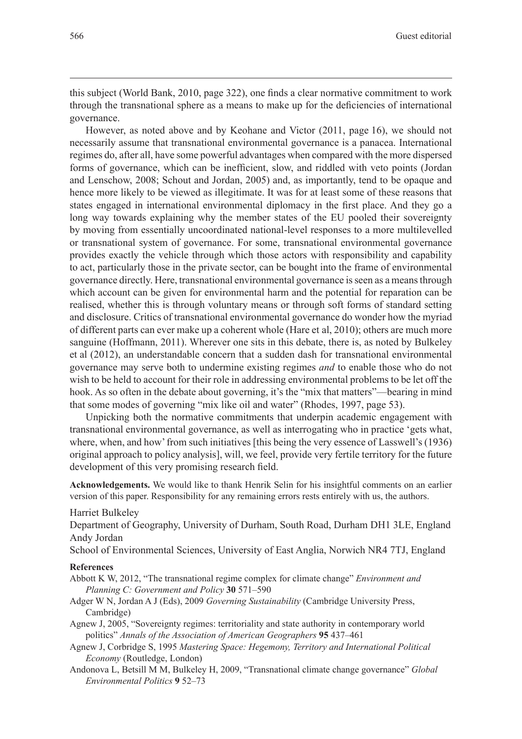this subject (World Bank, 2010, page 322), one finds a clear normative commitment to work through the transnational sphere as a means to make up for the deficiencies of international governance.

However, as noted above and by Keohane and Victor (2011, page 16), we should not necessarily assume that transnational environmental governance is a panacea. International regimes do, after all, have some powerful advantages when compared with the more dispersed forms of governance, which can be inefficient, slow, and riddled with veto points (Jordan and Lenschow, 2008; Schout and Jordan, 2005) and, as importantly, tend to be opaque and hence more likely to be viewed as illegitimate. It was for at least some of these reasons that states engaged in international environmental diplomacy in the first place. And they go a long way towards explaining why the member states of the EU pooled their sovereignty by moving from essentially uncoordinated national-level responses to a more multilevelled or transnational system of governance. For some, transnational environmental governance provides exactly the vehicle through which those actors with responsibility and capability to act, particularly those in the private sector, can be bought into the frame of environmental governance directly. Here, transnational environmental governance is seen as a means through which account can be given for environmental harm and the potential for reparation can be realised, whether this is through voluntary means or through soft forms of standard setting and disclosure. Critics of transnational environmental governance do wonder how the myriad of different parts can ever make up a coherent whole (Hare et al, 2010); others are much more sanguine (Hoffmann, 2011). Wherever one sits in this debate, there is, as noted by Bulkeley et al (2012), an understandable concern that a sudden dash for transnational environmental governance may serve both to undermine existing regimes *and* to enable those who do not wish to be held to account for their role in addressing environmental problems to be let off the hook. As so often in the debate about governing, it's the "mix that matters"—bearing in mind that some modes of governing "mix like oil and water" (Rhodes, 1997, page 53).

Unpicking both the normative commitments that underpin academic engagement with transnational environmental governance, as well as interrogating who in practice 'gets what, where, when, and how' from such initiatives [this being the very essence of Lasswell's (1936) original approach to policy analysis], will, we feel, provide very fertile territory for the future development of this very promising research field.

**Acknowledgements.** We would like to thank Henrik Selin for his insightful comments on an earlier version of this paper. Responsibility for any remaining errors rests entirely with us, the authors.

#### Harriet Bulkeley

Department of Geography, University of Durham, South Road, Durham DH1 3LE, England Andy Jordan

School of Environmental Sciences, University of East Anglia, Norwich NR4 7TJ, England

#### **References**

- Abbott K W, 2012, "The transnational regime complex for climate change" *Environment and Planning C: Government and Policy* **30** 571–590
- Adger W N, Jordan A J (Eds), 2009 *Governing Sustainability* (Cambridge University Press, Cambridge)
- Agnew J, 2005, "Sovereignty regimes: territoriality and state authority in contemporary world politics" *Annals of the Association of American Geographers* **95** 437–461
- Agnew J, Corbridge S, 1995 *Mastering Space: Hegemony, Territory and International Political Economy* (Routledge, London)
- Andonova L, Betsill M M, Bulkeley H, 2009, "Transnational climate change governance" *Global Environmental Politics* **9** 52–73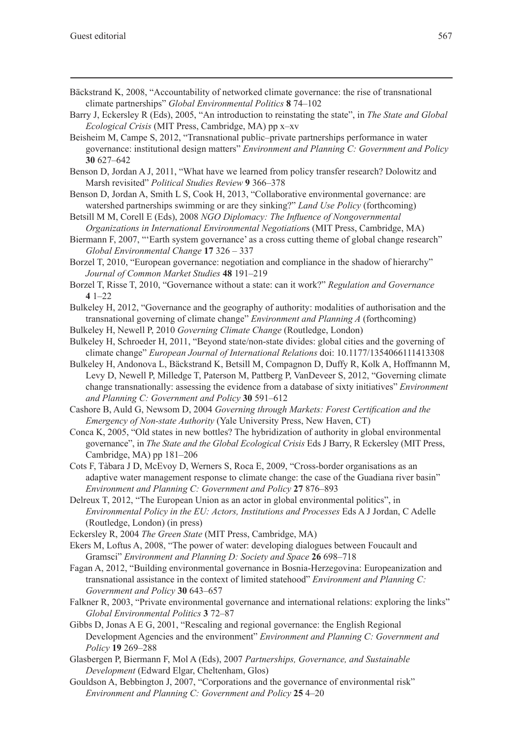- Bäckstrand K, 2008, "Accountability of networked climate governance: the rise of transnational climate partnerships" *Global Environmental Politics* **8** 74–102
- Barry J, Eckersley R (Eds), 2005, "An introduction to reinstating the state", in *The State and Global Ecological Crisis* (MIT Press, Cambridge, MA) pp x–xv
- Beisheim M, Campe S, 2012, "Transnational public–private partnerships performance in water governance: institutional design matters" *Environment and Planning C: Government and Policy*  **30** 627–642
- Benson D, Jordan A J, 2011, "What have we learned from policy transfer research? Dolowitz and Marsh revisited" *Political Studies Review* **9** 366–378
- Benson D, Jordan A, Smith L S, Cook H, 2013, "Collaborative environmental governance: are watershed partnerships swimming or are they sinking?" *Land Use Policy* (forthcoming)
- Betsill M M, Corell E (Eds), 2008 *NGO Diplomacy: The Influence of Nongovernmental Organizations in International Environmental Negotiation*s (MIT Press, Cambridge, MA)
- Biermann F, 2007, "'Earth system governance' as a cross cutting theme of global change research" *Global Environmental Change* **17** 326 – 337
- Borzel T, 2010, "European governance: negotiation and compliance in the shadow of hierarchy" *Journal of Common Market Studies* **48** 191–219
- Borzel T, Risse T, 2010, "Governance without a state: can it work?" *Regulation and Governance* **4** 1–22
- Bulkeley H, 2012, "Governance and the geography of authority: modalities of authorisation and the transnational governing of climate change" *Environment and Planning A* (forthcoming)
- Bulkeley H, Newell P, 2010 *Governing Climate Change* (Routledge, London)
- Bulkeley H, Schroeder H, 2011, "Beyond state/non-state divides: global cities and the governing of climate change" *European Journal of International Relations* doi: 10.1177/1354066111413308
- Bulkeley H, Andonova L, Bäckstrand K, Betsill M, Compagnon D, Duffy R, Kolk A, Hoffmannn M, Levy D, Newell P, Milledge T, Paterson M, Pattberg P, VanDeveer S, 2012, "Governing climate change transnationally: assessing the evidence from a database of sixty initiatives" *Environment and Planning C: Government and Policy* **30** 591–612
- Cashore B, Auld G, Newsom D, 2004 *Governing through Markets: Forest Certification and the Emergency of Non-state Authority* (Yale University Press, New Haven, CT)
- Conca K, 2005, "Old states in new bottles? The hybridization of authority in global environmental governance", in *The State and the Global Ecological Crisis* Eds J Barry, R Eckersley (MIT Press, Cambridge, MA) pp 181–206
- Cots F, Tàbara J D, McEvoy D, Werners S, Roca E, 2009, "Cross-border organisations as an adaptive water management response to climate change: the case of the Guadiana river basin" *Environment and Planning C: Government and Policy* **27** 876–893
- Delreux T, 2012, "The European Union as an actor in global environmental politics", in *Environmental Policy in the EU: Actors, Institutions and Processes* Eds A J Jordan, C Adelle (Routledge, London) (in press)
- Eckersley R, 2004 *The Green State* (MIT Press, Cambridge, MA)
- Ekers M, Loftus A, 2008, "The power of water: developing dialogues between Foucault and Gramsci" *Environment and Planning D: Society and Space* **26** 698–718
- Fagan A, 2012, "Building environmental governance in Bosnia-Herzegovina: Europeanization and transnational assistance in the context of limited statehood" *Environment and Planning C: Government and Policy* **30** 643–657
- Falkner R, 2003, "Private environmental governance and international relations: exploring the links" *Global Environmental Politics* **3** 72–87
- Gibbs D, Jonas A E G, 2001, "Rescaling and regional governance: the English Regional Development Agencies and the environment" *Environment and Planning C: Government and Policy* **19** 269–288
- Glasbergen P, Biermann F, Mol A (Eds), 2007 *Partnerships, Governance, and Sustainable Development* (Edward Elgar, Cheltenham, Glos)
- Gouldson A, Bebbington J, 2007, "Corporations and the governance of environmental risk" *Environment and Planning C: Government and Policy* **25** 4–20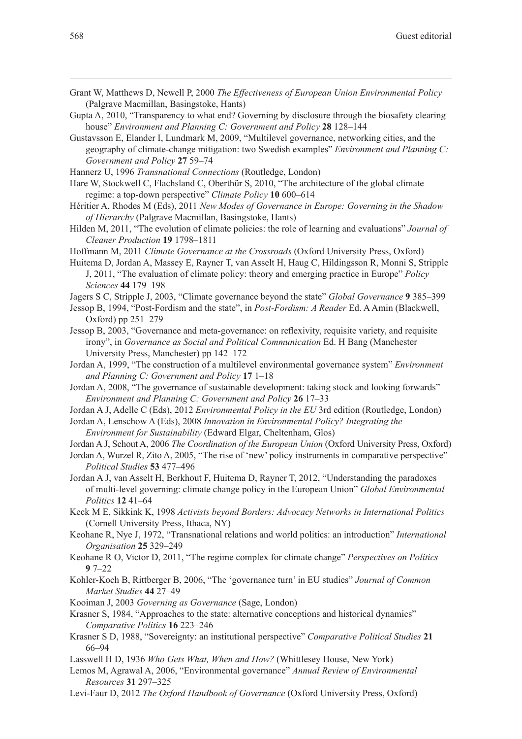- Grant W, Matthews D, Newell P, 2000 *The Effectiveness of European Union Environmental Policy* (Palgrave Macmillan, Basingstoke, Hants)
- Gupta A, 2010, "Transparency to what end? Governing by disclosure through the biosafety clearing house" *Environment and Planning C: Government and Policy* **28** 128–144
- Gustavsson E, Elander I, Lundmark M, 2009, "Multilevel governance, networking cities, and the geography of climate-change mitigation: two Swedish examples" *Environment and Planning C: Government and Policy* **27** 59–74
- Hannerz U, 1996 *Transnational Connections* (Routledge, London)
- Hare W, Stockwell C, Flachsland C, Oberthür S, 2010, "The architecture of the global climate regime: a top-down perspective" *Climate Policy* **10** 600–614
- Héritier A, Rhodes M (Eds), 2011 *New Modes of Governance in Europe: Governing in the Shadow of Hierarchy* (Palgrave Macmillan, Basingstoke, Hants)
- Hilden M, 2011, "The evolution of climate policies: the role of learning and evaluations" *Journal of Cleaner Production* **19** 1798–1811
- Hoffmann M, 2011 *Climate Governance at the Crossroads* (Oxford University Press, Oxford)
- Huitema D, Jordan A, Massey E, Rayner T, van Asselt H, Haug C, Hildingsson R, Monni S, Stripple J, 2011, "The evaluation of climate policy: theory and emerging practice in Europe" *Policy Sciences* **44** 179–198
- Jagers S C, Stripple J, 2003, "Climate governance beyond the state" *Global Governance* **9** 385–399
- Jessop B, 1994, "Post-Fordism and the state", in *Post-Fordism: A Reader* Ed. A Amin (Blackwell, Oxford) pp 251–279
- Jessop B, 2003, "Governance and meta-governance: on reflexivity, requisite variety, and requisite irony", in *Governance as Social and Political Communication* Ed. H Bang (Manchester University Press, Manchester) pp 142–172
- Jordan A, 1999, "The construction of a multilevel environmental governance system" *Environment and Planning C: Government and Policy* **17** 1–18
- Jordan A, 2008, "The governance of sustainable development: taking stock and looking forwards" *Environment and Planning C: Government and Policy* **26** 17–33
- Jordan A J, Adelle C (Eds), 2012 *Environmental Policy in the EU* 3rd edition (Routledge, London)
- Jordan A, Lenschow A (Eds), 2008 *Innovation in Environmental Policy? Integrating the Environment for Sustainability* (Edward Elgar, Cheltenham, Glos)
- Jordan A J, Schout A, 2006 *The Coordination of the European Union* (Oxford University Press, Oxford)
- Jordan A, Wurzel R, Zito A, 2005, "The rise of 'new' policy instruments in comparative perspective" *Political Studies* **53** 477–496
- Jordan A J, van Asselt H, Berkhout F, Huitema D, Rayner T, 2012, "Understanding the paradoxes of multi-level governing: climate change policy in the European Union" *Global Environmental Politics* **12** 41–64
- Keck M E, Sikkink K, 1998 *Activists beyond Borders: Advocacy Networks in International Politics* (Cornell University Press, Ithaca, NY)
- Keohane R, Nye J, 1972, "Transnational relations and world politics: an introduction" *International Organisation* **25** 329–249
- Keohane R O, Victor D, 2011, "The regime complex for climate change" *Perspectives on Politics* **9** 7–22
- Kohler-Koch B, Rittberger B, 2006, "The 'governance turn' in EU studies" *Journal of Common Market Studies* **44** 27–49
- Kooiman J, 2003 *Governing as Governance* (Sage, London)
- Krasner S, 1984, "Approaches to the state: alternative conceptions and historical dynamics" *Comparative Politics* **16** 223–246
- Krasner S D, 1988, "Sovereignty: an institutional perspective" *Comparative Political Studies* **21** 66–94
- Lasswell H D, 1936 *Who Gets What, When and How?* (Whittlesey House, New York)
- Lemos M, Agrawal A, 2006, "Environmental governance" *Annual Review of Environmental Resources* **31** 297–325
- Levi-Faur D, 2012 *The Oxford Handbook of Governance* (Oxford University Press, Oxford)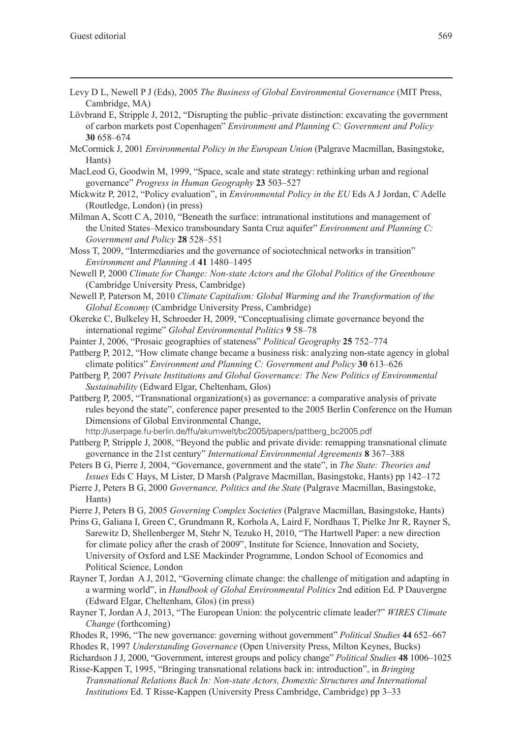- Levy D L, Newell P J (Eds), 2005 *The Business of Global Environmental Governance* (MIT Press, Cambridge, MA)
- Lövbrand E, Stripple J, 2012, "Disrupting the public–private distinction: excavating the government of carbon markets post Copenhagen" *Environment and Planning C: Government and Policy*  **30** 658–674
- McCormick J, 2001 *Environmental Policy in the European Union* (Palgrave Macmillan, Basingstoke, Hants)
- MacLeod G, Goodwin M, 1999, "Space, scale and state strategy: rethinking urban and regional governance" *Progress in Human Geography* **23** 503–527
- Mickwitz P, 2012, "Policy evaluation", in *Environmental Policy in the EU* Eds A J Jordan, C Adelle (Routledge, London) (in press)
- Milman A, Scott C A, 2010, "Beneath the surface: intranational institutions and management of the United States–Mexico transboundary Santa Cruz aquifer" *Environment and Planning C: Government and Policy* **28** 528–551
- Moss T, 2009, "Intermediaries and the governance of sociotechnical networks in transition" *Environment and Planning A* **41** 1480–1495
- Newell P, 2000 *Climate for Change: Non-state Actors and the Global Politics of the Greenhouse* (Cambridge University Press, Cambridge)
- Newell P, Paterson M, 2010 *Climate Capitalism: Global Warming and the Transformation of the Global Economy* (Cambridge University Press, Cambridge)
- Okereke C, Bulkeley H, Schroeder H, 2009, "Conceptualising climate governance beyond the international regime" *Global Environmental Politics* **9** 58–78
- Painter J, 2006, "Prosaic geographies of stateness" *Political Geography* **25** 752–774
- Pattberg P, 2012, "How climate change became a business risk: analyzing non-state agency in global climate politics" *Environment and Planning C: Government and Policy* **30** 613–626
- Pattberg P, 2007 *Private Institutions and Global Governance: The New Politics of Environmental Sustainability* (Edward Elgar, Cheltenham, Glos)
- Pattberg P, 2005, "Transnational organization(s) as governance: a comparative analysis of private rules beyond the state", conference paper presented to the 2005 Berlin Conference on the Human Dimensions of Global Environmental Change,

http://userpage.fu-berlin.de/ffu/akumwelt/bc2005/papers/pattberg\_bc2005.pdf

- Pattberg P, Stripple J, 2008, "Beyond the public and private divide: remapping transnational climate governance in the 21st century" *International Environmental Agreements* **8** 367–388
- Peters B G, Pierre J, 2004, "Governance, government and the state", in *The State: Theories and Issues* Eds C Hays, M Lister, D Marsh (Palgrave Macmillan, Basingstoke, Hants) pp 142–172
- Pierre J, Peters B G, 2000 *Governance, Politics and the State* (Palgrave Macmillan, Basingstoke, Hants)
- Pierre J, Peters B G, 2005 *Governing Complex Societies* (Palgrave Macmillan, Basingstoke, Hants)
- Prins G, Galiana I, Green C, Grundmann R, Korhola A, Laird F, Nordhaus T, Pielke Jnr R, Rayner S, Sarewitz D, Shellenberger M, Stehr N, Tezuko H, 2010, "The Hartwell Paper: a new direction for climate policy after the crash of 2009", Institute for Science, Innovation and Society, University of Oxford and LSE Mackinder Programme, London School of Economics and Political Science, London
- Rayner T, Jordan A J, 2012, "Governing climate change: the challenge of mitigation and adapting in a warming world", in *Handbook of Global Environmental Politics* 2nd edition Ed. P Dauvergne (Edward Elgar, Cheltenham, Glos) (in press)
- Rayner T, Jordan A J, 2013, "The European Union: the polycentric climate leader?" *WIRES Climate Change* (forthcoming)
- Rhodes R, 1996, "The new governance: governing without government" *Political Studies* **44** 652–667
- Rhodes R, 1997 *Understanding Governance* (Open University Press, Milton Keynes, Bucks)
- Richardson J J, 2000, "Government, interest groups and policy change" *Political Studies* **48** 1006–1025
- Risse-Kappen T, 1995, "Bringing transnational relations back in: introduction", in *Bringing Transnational Relations Back In: Non-state Actors, Domestic Structures and International Institutions* Ed. T Risse-Kappen (University Press Cambridge, Cambridge) pp 3–33